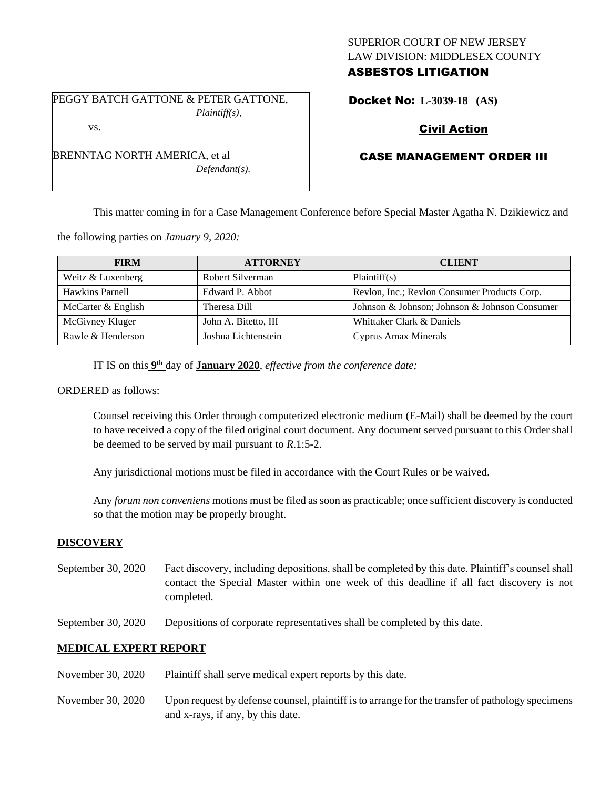# SUPERIOR COURT OF NEW JERSEY LAW DIVISION: MIDDLESEX COUNTY ASBESTOS LITIGATION

PEGGY BATCH GATTONE & PETER GATTONE, *Plaintiff(s),*

*Defendant(s).*

Docket No: **L-3039-18 (AS)** 

# Civil Action

# CASE MANAGEMENT ORDER III

This matter coming in for a Case Management Conference before Special Master Agatha N. Dzikiewicz and

the following parties on *January 9, 2020:*

| <b>FIRM</b>        | <b>ATTORNEY</b>      | <b>CLIENT</b>                                 |
|--------------------|----------------------|-----------------------------------------------|
| Weitz & Luxenberg  | Robert Silverman     | Plaintiff(s)                                  |
| Hawkins Parnell    | Edward P. Abbot      | Revlon, Inc.; Revlon Consumer Products Corp.  |
| McCarter & English | Theresa Dill         | Johnson & Johnson; Johnson & Johnson Consumer |
| McGivney Kluger    | John A. Bitetto, III | Whittaker Clark & Daniels                     |
| Rawle & Henderson  | Joshua Lichtenstein  | <b>Cyprus Amax Minerals</b>                   |

IT IS on this  $9<sup>th</sup>$  day of **January 2020**, *effective from the conference date*;

ORDERED as follows:

Counsel receiving this Order through computerized electronic medium (E-Mail) shall be deemed by the court to have received a copy of the filed original court document. Any document served pursuant to this Order shall be deemed to be served by mail pursuant to *R*.1:5-2.

Any jurisdictional motions must be filed in accordance with the Court Rules or be waived.

Any *forum non conveniens* motions must be filed as soon as practicable; once sufficient discovery is conducted so that the motion may be properly brought.

### **DISCOVERY**

- September 30, 2020 Fact discovery, including depositions, shall be completed by this date. Plaintiff's counsel shall contact the Special Master within one week of this deadline if all fact discovery is not completed.
- September 30, 2020 Depositions of corporate representatives shall be completed by this date.

#### **MEDICAL EXPERT REPORT**

- November 30, 2020 Plaintiff shall serve medical expert reports by this date.
- November 30, 2020 Upon request by defense counsel, plaintiff is to arrange for the transfer of pathology specimens and x-rays, if any, by this date.

vs. BRENNTAG NORTH AMERICA, et al